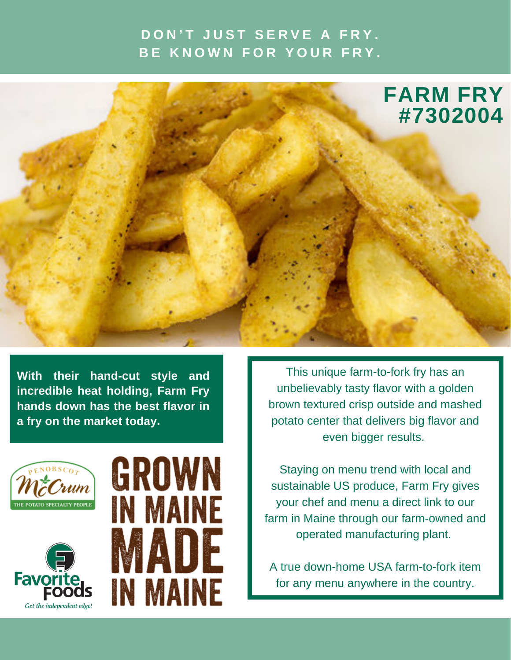## **D O N ' T J U S T S E R V E A F R Y . B E K N O W N F O R Y O U R F R Y .**



**With their hand-cut style and incredible heat holding, Farm Fry hands down has the best flavor in a fry on the market today.**



Get the independent edge!

**Favo** 



This unique farm-to-fork fry has an unbelievably tasty flavor with a golden brown textured crisp outside and mashed potato center that delivers big flavor and even bigger results.

Staying on menu trend with local and sustainable US produce, Farm Fry gives your chef and menu a direct link to our farm in Maine through our farm-owned and operated manufacturing plant.

A true down-home USA farm-to-fork item for any menu anywhere in the country.